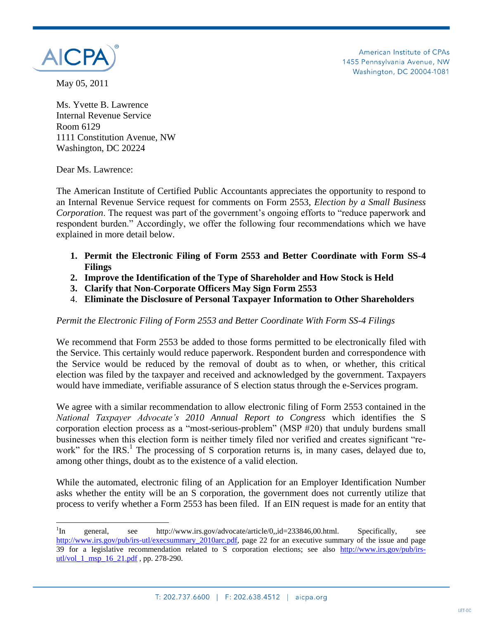

American Institute of CPAs 1455 Pennsylvania Avenue, NW Washington, DC 20004-1081

May 05, 2011

Ms. Yvette B. Lawrence Internal Revenue Service Room 6129 1111 Constitution Avenue, NW Washington, DC 20224

Dear Ms. Lawrence:

 $\overline{\phantom{a}}$ 

The American Institute of Certified Public Accountants appreciates the opportunity to respond to an Internal Revenue Service request for comments on Form 2553, *Election by a Small Business Corporation*. The request was part of the government's ongoing efforts to "reduce paperwork and respondent burden." Accordingly, we offer the following four recommendations which we have explained in more detail below.

- **1. Permit the Electronic Filing of Form 2553 and Better Coordinate with Form SS-4 Filings**
- **2. Improve the Identification of the Type of Shareholder and How Stock is Held**
- **3. Clarify that Non-Corporate Officers May Sign Form 2553**
- 4. **Eliminate the Disclosure of Personal Taxpayer Information to Other Shareholders**

## *Permit the Electronic Filing of Form 2553 and Better Coordinate With Form SS-4 Filings*

We recommend that Form 2553 be added to those forms permitted to be electronically filed with the Service. This certainly would reduce paperwork. Respondent burden and correspondence with the Service would be reduced by the removal of doubt as to when, or whether, this critical election was filed by the taxpayer and received and acknowledged by the government. Taxpayers would have immediate, verifiable assurance of S election status through the e-Services program.

We agree with a similar recommendation to allow electronic filing of Form 2553 contained in the *National Taxpayer Advocate's 2010 Annual Report to Congress* which identifies the S corporation election process as a "most-serious-problem" (MSP #20) that unduly burdens small businesses when this election form is neither timely filed nor verified and creates significant "rework" for the IRS.<sup>1</sup> The processing of S corporation returns is, in many cases, delayed due to, among other things, doubt as to the existence of a valid election.

While the automated, electronic filing of an Application for an Employer Identification Number asks whether the entity will be an S corporation, the government does not currently utilize that process to verify whether a Form 2553 has been filed. If an EIN request is made for an entity that

 $\ln$ In general, see http://www.irs.gov/advocate/article/0,,id=233846,00.html. Specifically, see [http://www.irs.gov/pub/irs-utl/execsummary\\_2010arc.pdf,](http://www.irs.gov/pub/irs-utl/execsummary_2010arc.pdf) page 22 for an executive summary of the issue and page 39 for a legislative recommendation related to S corporation elections; see also [http://www.irs.gov/pub/irs](http://www.irs.gov/pub/irs-utl/vol_1_msp_16_21.pdf)utl/vol 1 msp 16 21.pdf , pp. 278-290.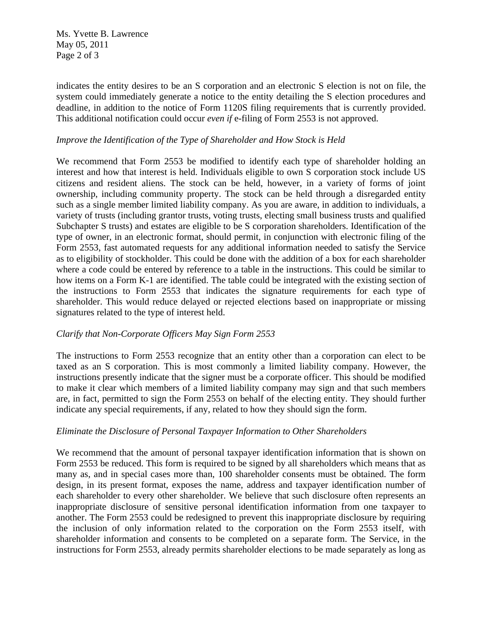Ms. Yvette B. Lawrence May 05, 2011 Page 2 of 3

indicates the entity desires to be an S corporation and an electronic S election is not on file, the system could immediately generate a notice to the entity detailing the S election procedures and deadline, in addition to the notice of Form 1120S filing requirements that is currently provided. This additional notification could occur *even if* e-filing of Form 2553 is not approved.

## *Improve the Identification of the Type of Shareholder and How Stock is Held*

We recommend that Form 2553 be modified to identify each type of shareholder holding an interest and how that interest is held. Individuals eligible to own S corporation stock include US citizens and resident aliens. The stock can be held, however, in a variety of forms of joint ownership, including community property. The stock can be held through a disregarded entity such as a single member limited liability company. As you are aware, in addition to individuals, a variety of trusts (including grantor trusts, voting trusts, electing small business trusts and qualified Subchapter S trusts) and estates are eligible to be S corporation shareholders. Identification of the type of owner, in an electronic format, should permit, in conjunction with electronic filing of the Form 2553, fast automated requests for any additional information needed to satisfy the Service as to eligibility of stockholder. This could be done with the addition of a box for each shareholder where a code could be entered by reference to a table in the instructions. This could be similar to how items on a Form K-1 are identified. The table could be integrated with the existing section of the instructions to Form 2553 that indicates the signature requirements for each type of shareholder. This would reduce delayed or rejected elections based on inappropriate or missing signatures related to the type of interest held.

## *Clarify that Non-Corporate Officers May Sign Form 2553*

The instructions to Form 2553 recognize that an entity other than a corporation can elect to be taxed as an S corporation. This is most commonly a limited liability company. However, the instructions presently indicate that the signer must be a corporate officer. This should be modified to make it clear which members of a limited liability company may sign and that such members are, in fact, permitted to sign the Form 2553 on behalf of the electing entity. They should further indicate any special requirements, if any, related to how they should sign the form.

## *Eliminate the Disclosure of Personal Taxpayer Information to Other Shareholders*

We recommend that the amount of personal taxpayer identification information that is shown on Form 2553 be reduced. This form is required to be signed by all shareholders which means that as many as, and in special cases more than, 100 shareholder consents must be obtained. The form design, in its present format, exposes the name, address and taxpayer identification number of each shareholder to every other shareholder. We believe that such disclosure often represents an inappropriate disclosure of sensitive personal identification information from one taxpayer to another. The Form 2553 could be redesigned to prevent this inappropriate disclosure by requiring the inclusion of only information related to the corporation on the Form 2553 itself, with shareholder information and consents to be completed on a separate form. The Service, in the instructions for Form 2553, already permits shareholder elections to be made separately as long as